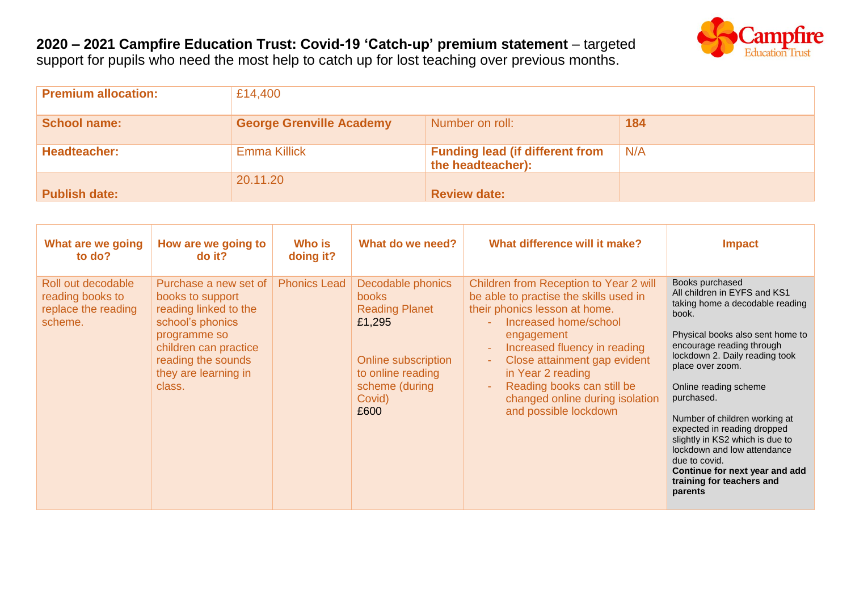## **2020 – 2021 Campfire Education Trust: Covid-19 'Catch-up' premium statement** – targeted support for pupils who need the most help to catch up for lost teaching over previous months.



| <b>Premium allocation:</b> | £14,400                         |                                                             |     |
|----------------------------|---------------------------------|-------------------------------------------------------------|-----|
| <b>School name:</b>        | <b>George Grenville Academy</b> | Number on roll:                                             | 184 |
| Headteacher:               | <b>Emma Killick</b>             | <b>Funding lead (if different from</b><br>the headteacher): | N/A |
| <b>Publish date:</b>       | 20.11.20                        | <b>Review date:</b>                                         |     |

| What are we going<br>to do?                                              | How are we going to<br>$do$ it?                                                                                                                                                         | <b>Who is</b><br>doing it? | What do we need?                                                                                                                                     | What difference will it make?                                                                                                                                                                                                                                                                                                                           | <b>Impact</b>                                                                                                                                                                                                                                                                                                                                                                                                                                                                          |
|--------------------------------------------------------------------------|-----------------------------------------------------------------------------------------------------------------------------------------------------------------------------------------|----------------------------|------------------------------------------------------------------------------------------------------------------------------------------------------|---------------------------------------------------------------------------------------------------------------------------------------------------------------------------------------------------------------------------------------------------------------------------------------------------------------------------------------------------------|----------------------------------------------------------------------------------------------------------------------------------------------------------------------------------------------------------------------------------------------------------------------------------------------------------------------------------------------------------------------------------------------------------------------------------------------------------------------------------------|
| Roll out decodable<br>reading books to<br>replace the reading<br>scheme. | Purchase a new set of<br>books to support<br>reading linked to the<br>school's phonics<br>programme so<br>children can practice<br>reading the sounds<br>they are learning in<br>class. | <b>Phonics Lead</b>        | Decodable phonics<br><b>books</b><br><b>Reading Planet</b><br>£1,295<br>Online subscription<br>to online reading<br>scheme (during<br>Covid)<br>£600 | Children from Reception to Year 2 will<br>be able to practise the skills used in<br>their phonics lesson at home.<br>Increased home/school<br>engagement<br>Increased fluency in reading<br>٠<br>Close attainment gap evident<br>÷,<br>in Year 2 reading<br>Reading books can still be<br>÷<br>changed online during isolation<br>and possible lockdown | Books purchased<br>All children in EYFS and KS1<br>taking home a decodable reading<br>book.<br>Physical books also sent home to<br>encourage reading through<br>lockdown 2. Daily reading took<br>place over zoom.<br>Online reading scheme<br>purchased.<br>Number of children working at<br>expected in reading dropped<br>slightly in KS2 which is due to<br>lockdown and low attendance<br>due to covid.<br>Continue for next year and add<br>training for teachers and<br>parents |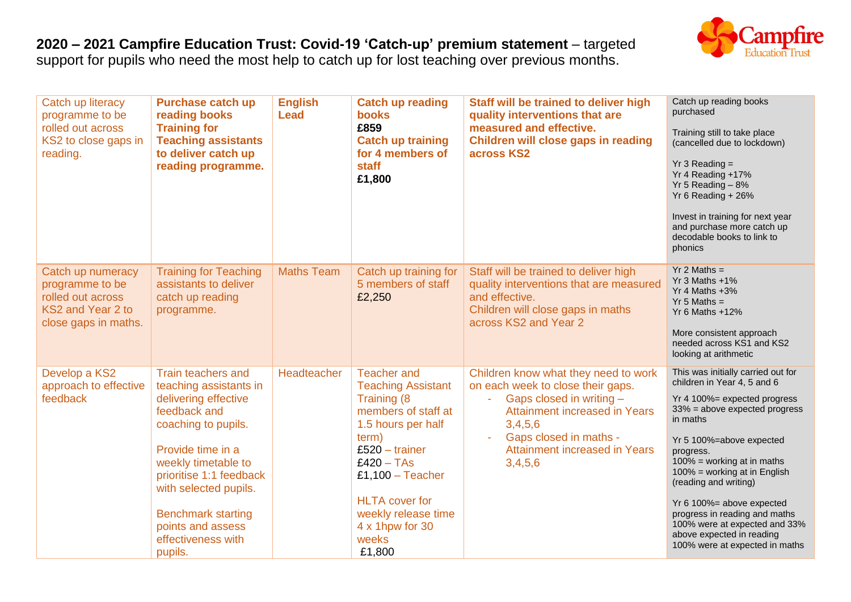## **2020 – 2021 Campfire Education Trust: Covid-19 'Catch-up' premium statement** – targeted

support for pupils who need the most help to catch up for lost teaching over previous months.



| Catch up literacy<br>programme to be<br>rolled out across<br>KS2 to close gaps in<br>reading.          | <b>Purchase catch up</b><br>reading books<br><b>Training for</b><br><b>Teaching assistants</b><br>to deliver catch up<br>reading programme.                                                                                                                                                    | <b>English</b><br><b>Lead</b> | <b>Catch up reading</b><br><b>books</b><br>£859<br><b>Catch up training</b><br>for 4 members of<br>staff<br>£1,800                                                                                                                                                   | Staff will be trained to deliver high<br>quality interventions that are<br>measured and effective.<br>Children will close gaps in reading<br>across KS2                                                                        | Catch up reading books<br>purchased<br>Training still to take place<br>(cancelled due to lockdown)<br>$Yr$ 3 Reading =<br>Yr 4 Reading +17%<br>Yr 5 Reading $-8%$<br>Yr 6 Reading $+26%$<br>Invest in training for next year<br>and purchase more catch up<br>decodable books to link to<br>phonics                                                                                                                                                |
|--------------------------------------------------------------------------------------------------------|------------------------------------------------------------------------------------------------------------------------------------------------------------------------------------------------------------------------------------------------------------------------------------------------|-------------------------------|----------------------------------------------------------------------------------------------------------------------------------------------------------------------------------------------------------------------------------------------------------------------|--------------------------------------------------------------------------------------------------------------------------------------------------------------------------------------------------------------------------------|----------------------------------------------------------------------------------------------------------------------------------------------------------------------------------------------------------------------------------------------------------------------------------------------------------------------------------------------------------------------------------------------------------------------------------------------------|
| Catch up numeracy<br>programme to be<br>rolled out across<br>KS2 and Year 2 to<br>close gaps in maths. | <b>Training for Teaching</b><br>assistants to deliver<br>catch up reading<br>programme.                                                                                                                                                                                                        | <b>Maths Team</b>             | Catch up training for<br>5 members of staff<br>£2,250                                                                                                                                                                                                                | Staff will be trained to deliver high<br>quality interventions that are measured<br>and effective.<br>Children will close gaps in maths<br>across KS2 and Year 2                                                               | $Yr$ 2 Maths =<br>Yr 3 Maths $+1\%$<br>Yr 4 Maths +3%<br>$Yr$ 5 Maths =<br>Yr 6 Maths +12%<br>More consistent approach<br>needed across KS1 and KS2<br>looking at arithmetic                                                                                                                                                                                                                                                                       |
| Develop a KS2<br>approach to effective<br>feedback                                                     | Train teachers and<br>teaching assistants in<br>delivering effective<br>feedback and<br>coaching to pupils.<br>Provide time in a<br>weekly timetable to<br>prioritise 1:1 feedback<br>with selected pupils.<br><b>Benchmark starting</b><br>points and assess<br>effectiveness with<br>pupils. | Headteacher                   | <b>Teacher and</b><br><b>Teaching Assistant</b><br>Training (8<br>members of staff at<br>1.5 hours per half<br>term)<br>$£520 - trainer$<br>$£420 - TAs$<br>$£1,100 - Teacher$<br><b>HLTA</b> cover for<br>weekly release time<br>4 x 1hpw for 30<br>weeks<br>£1,800 | Children know what they need to work<br>on each week to close their gaps.<br>Gaps closed in writing -<br><b>Attainment increased in Years</b><br>3,4,5,6<br>Gaps closed in maths -<br>Attainment increased in Years<br>3,4,5,6 | This was initially carried out for<br>children in Year 4, 5 and 6<br>Yr 4 100%= expected progress<br>$33\%$ = above expected progress<br>in maths<br>Yr 5 100%=above expected<br>progress.<br>$100\%$ = working at in maths<br>100% = working at in English<br>(reading and writing)<br>Yr 6 100%= above expected<br>progress in reading and maths<br>100% were at expected and 33%<br>above expected in reading<br>100% were at expected in maths |